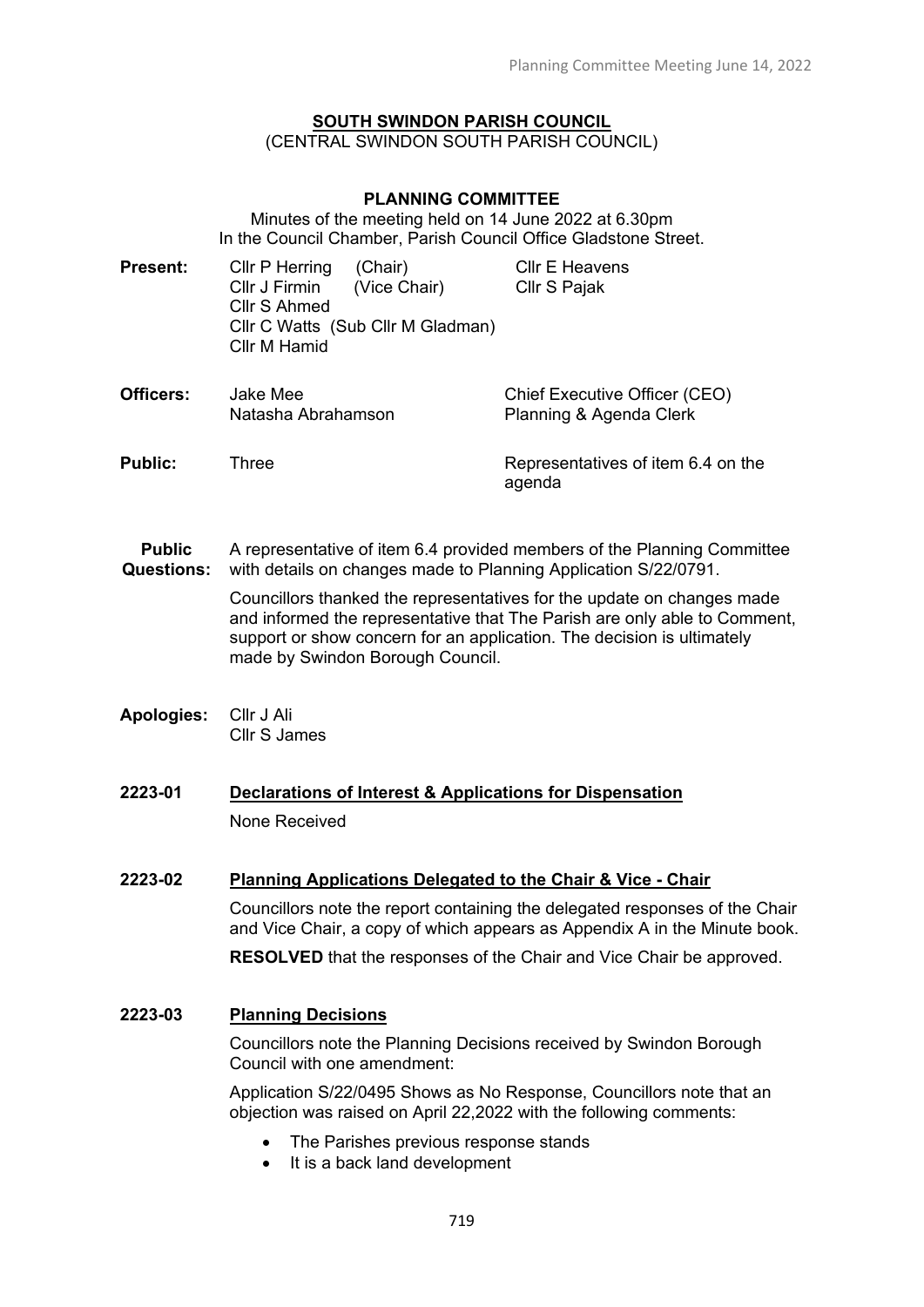#### **SOUTH SWINDON PARISH COUNCIL** (CENTRAL SWINDON SOUTH PARISH COUNCIL)

#### **PLANNING COMMITTEE**

Minutes of the meeting held on 14 June 2022 at 6.30pm In the Council Chamber, Parish Council Office Gladstone Street.

- **Present:** Cllr P Herring (Chair) Cllr J Firmin (Vice Chair) Cllr S Ahmed Cllr C Watts (Sub Cllr M Gladman) Cllr M Hamid Cllr E Heavens Cllr S Pajak
- **Officers:** Jake Mee Natasha Abrahamson Chief Executive Officer (CEO) Planning & Agenda Clerk **Public:** Three **Representatives of item 6.4 on the**
- **Public Questions:** A representative of item 6.4 provided members of the Planning Committee with details on changes made to Planning Application S/22/0791.

Councillors thanked the representatives for the update on changes made and informed the representative that The Parish are only able to Comment, support or show concern for an application. The decision is ultimately made by Swindon Borough Council.

agenda

- **Apologies:** Cllr J Ali Cllr S James
- **2223-01 Declarations of Interest & Applications for Dispensation** None Received

### **2223-02 Planning Applications Delegated to the Chair & Vice - Chair**

Councillors note the report containing the delegated responses of the Chair and Vice Chair, a copy of which appears as Appendix A in the Minute book.

**RESOLVED** that the responses of the Chair and Vice Chair be approved.

## **2223-03 Planning Decisions**

Councillors note the Planning Decisions received by Swindon Borough Council with one amendment:

Application S/22/0495 Shows as No Response, Councillors note that an objection was raised on April 22,2022 with the following comments:

- The Parishes previous response stands
- It is a back land development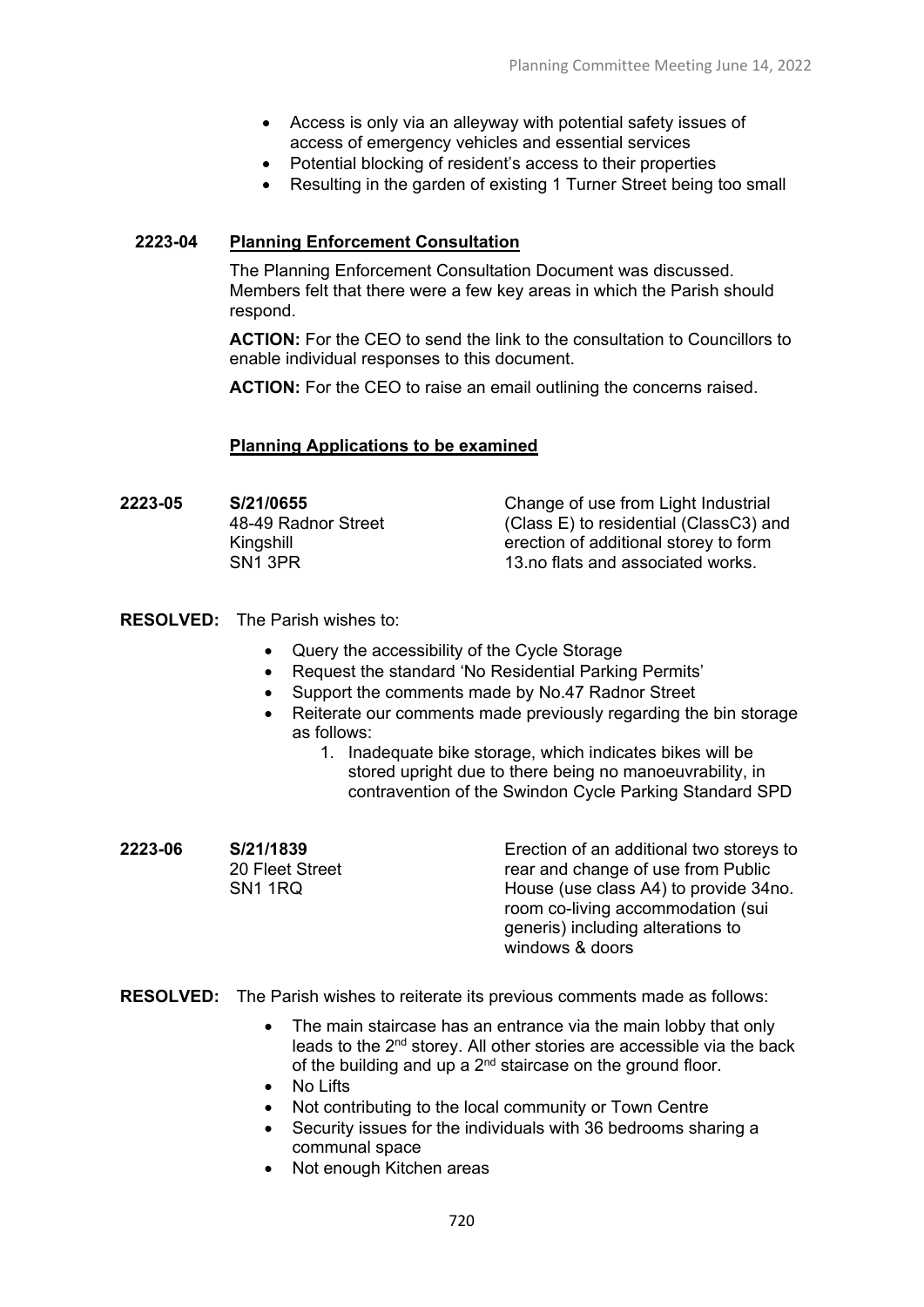- Access is only via an alleyway with potential safety issues of access of emergency vehicles and essential services
- Potential blocking of resident's access to their properties
- Resulting in the garden of existing 1 Turner Street being too small

# **2223-04 Planning Enforcement Consultation**

The Planning Enforcement Consultation Document was discussed. Members felt that there were a few key areas in which the Parish should respond.

**ACTION:** For the CEO to send the link to the consultation to Councillors to enable individual responses to this document.

**ACTION:** For the CEO to raise an email outlining the concerns raised.

### **Planning Applications to be examined**

| Change of use from Light Industrial<br>(Class E) to residential (ClassC3) and<br>erection of additional storey to form |
|------------------------------------------------------------------------------------------------------------------------|
| 13.no flats and associated works.                                                                                      |
|                                                                                                                        |

### **RESOLVED:** The Parish wishes to:

- Query the accessibility of the Cycle Storage
- Request the standard 'No Residential Parking Permits'
- Support the comments made by No.47 Radnor Street
- Reiterate our comments made previously regarding the bin storage as follows:
	- 1. Inadequate bike storage, which indicates bikes will be stored upright due to there being no manoeuvrability, in contravention of the Swindon Cycle Parking Standard SPD
- **2223-06 S/21/1839** 20 Fleet Street SN1 1RQ

Erection of an additional two storeys to rear and change of use from Public House (use class A4) to provide 34no. room co-living accommodation (sui generis) including alterations to windows & doors

**RESOLVED:** The Parish wishes to reiterate its previous comments made as follows:

- The main staircase has an entrance via the main lobby that only leads to the 2nd storey. All other stories are accessible via the back of the building and up a  $2<sup>nd</sup>$  staircase on the ground floor.
- No Lifts
- Not contributing to the local community or Town Centre
- Security issues for the individuals with 36 bedrooms sharing a communal space
- Not enough Kitchen areas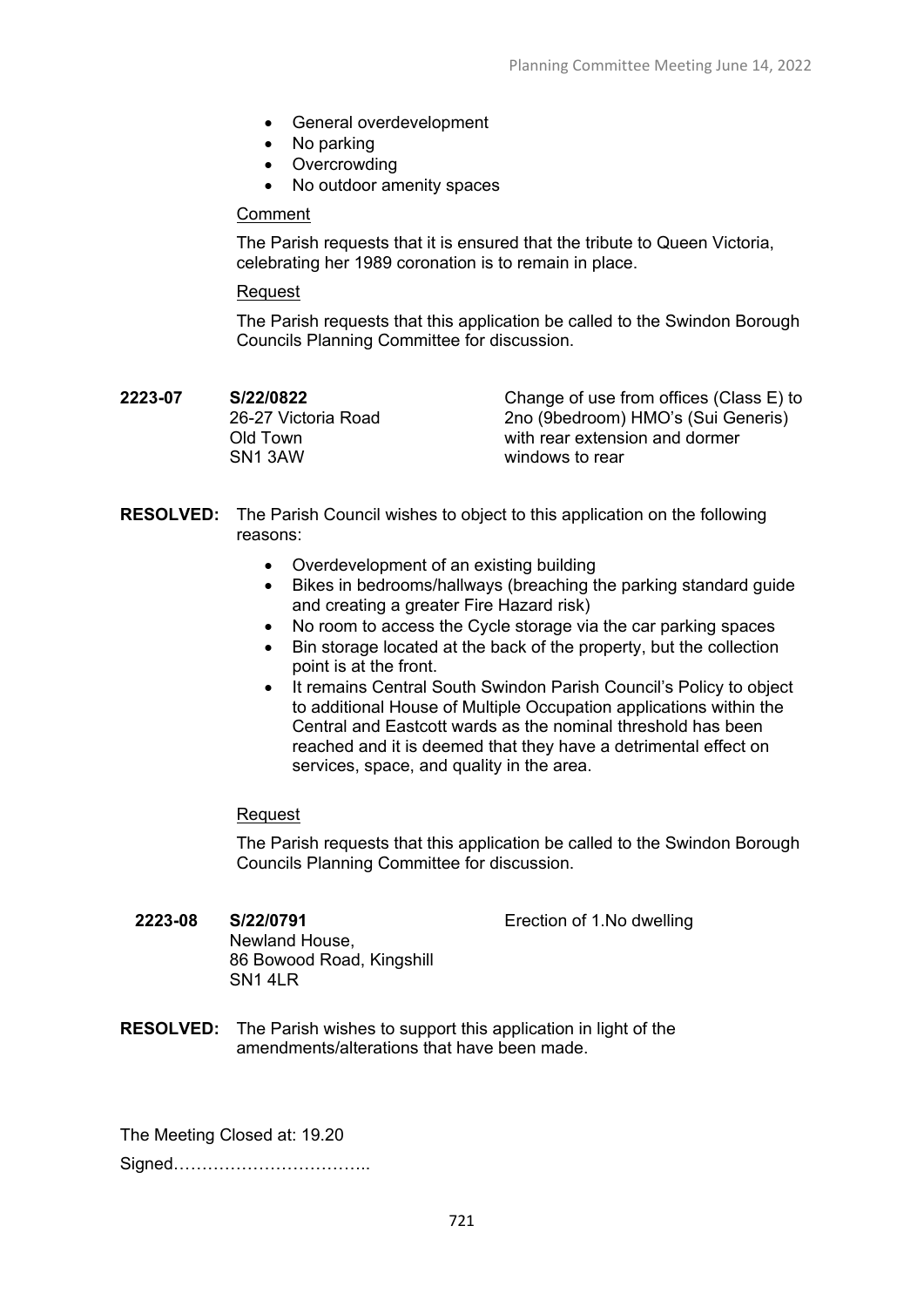- General overdevelopment
- No parking
- Overcrowding
- No outdoor amenity spaces

#### Comment

The Parish requests that it is ensured that the tribute to Queen Victoria, celebrating her 1989 coronation is to remain in place.

#### Request

The Parish requests that this application be called to the Swindon Borough Councils Planning Committee for discussion.

| 2223-07 | S/22/0822           |
|---------|---------------------|
|         | 26-27 Victoria Road |
|         | Old Town            |
|         | SN <sub>1</sub> 3AW |

Change of use from offices (Class E) to 2no (9bedroom) HMO's (Sui Generis) with rear extension and dormer windows to rear

- **RESOLVED:** The Parish Council wishes to object to this application on the following reasons:
	- Overdevelopment of an existing building
	- Bikes in bedrooms/hallways (breaching the parking standard guide and creating a greater Fire Hazard risk)
	- No room to access the Cycle storage via the car parking spaces
	- Bin storage located at the back of the property, but the collection point is at the front.
	- It remains Central South Swindon Parish Council's Policy to object to additional House of Multiple Occupation applications within the Central and Eastcott wards as the nominal threshold has been reached and it is deemed that they have a detrimental effect on services, space, and quality in the area.

### Request

The Parish requests that this application be called to the Swindon Borough Councils Planning Committee for discussion.

Erection of 1.No dwelling

- **2223-08 S/22/0791** Newland House, 86 Bowood Road, Kingshill SN1 4LR
- **RESOLVED:** The Parish wishes to support this application in light of the amendments/alterations that have been made.

The Meeting Closed at: 19.20 Signed……………………………..